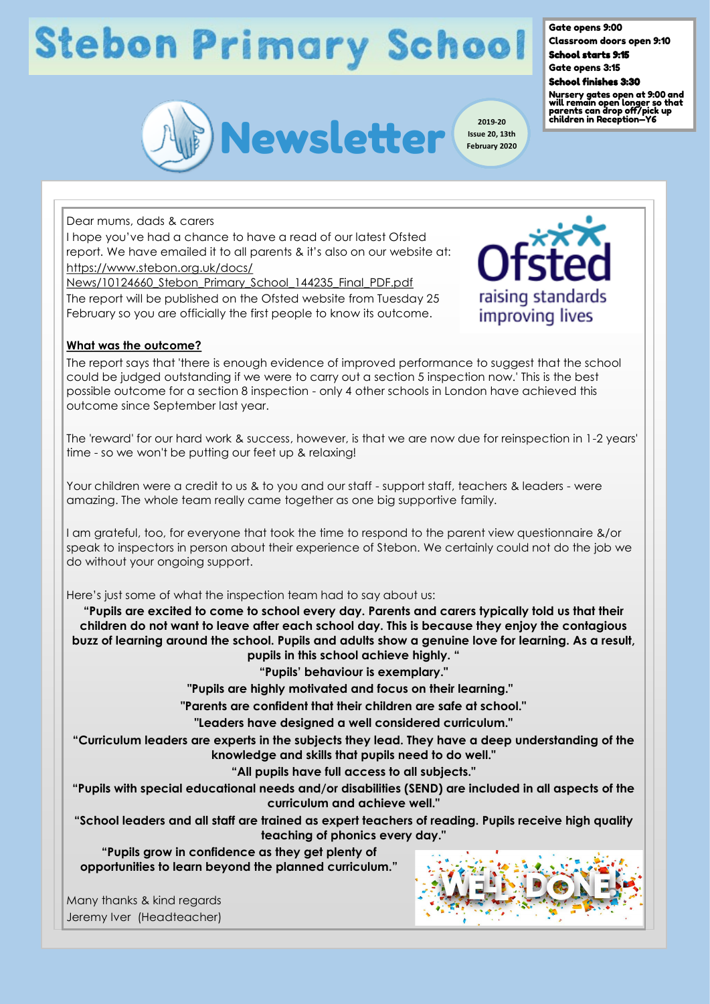# **Stebon Primary School**



**Issue 20, 13th February 2020**

> raising standards improving lives

Gate opens 9:00

Classroom doors open 9:10 School starts 9:15

Gate opens 3:15

School finishes 3:30

Nursery gates open at 9:00 and will remain open longer so that parents can drop off/pick up children in Reception—Y6

Dear mums, dads & carers

I hope you've had a chance to have a read of our latest Ofsted report. We have emailed it to all parents & it's also on our website at: [https://www.stebon.org.uk/docs/](https://www.stebon.org.uk/docs/News/10124660_Stebon_Primary_School_144235_Final_PDF.pdf)

[News/10124660\\_Stebon\\_Primary\\_School\\_144235\\_Final\\_PDF.pdf](https://www.stebon.org.uk/docs/News/10124660_Stebon_Primary_School_144235_Final_PDF.pdf) The report will be published on the Ofsted website from Tuesday 25 February so you are officially the first people to know its outcome.

**What was the outcome?** The report says that 'there is enough evidence of improved performance to suggest that the school could be judged outstanding if we were to carry out a section 5 inspection now.' This is the best possible outcome for a section 8 inspection - only 4 other schools in London have achieved this outcome since September last year.

The 'reward' for our hard work & success, however, is that we are now due for reinspection in 1-2 years' time - so we won't be putting our feet up & relaxing!

Your children were a credit to us & to you and our staff - support staff, teachers & leaders - were amazing. The whole team really came together as one big supportive family.

I am grateful, too, for everyone that took the time to respond to the parent view questionnaire &/or speak to inspectors in person about their experience of Stebon. We certainly could not do the job we do without your ongoing support.

Here's just some of what the inspection team had to say about us:

**"Pupils are excited to come to school every day. Parents and carers typically told us that their children do not want to leave after each school day. This is because they enjoy the contagious buzz of learning around the school. Pupils and adults show a genuine love for learning. As a result, pupils in this school achieve highly. "**

**"Pupils' behaviour is exemplary."**

**"Pupils are highly motivated and focus on their learning."** 

**"Parents are confident that their children are safe at school."**

**"Leaders have designed a well considered curriculum."**

**"Curriculum leaders are experts in the subjects they lead. They have a deep understanding of the knowledge and skills that pupils need to do well."**

**"All pupils have full access to all subjects."**

**"Pupils with special educational needs and/or disabilities (SEND) are included in all aspects of the curriculum and achieve well."**

**"School leaders and all staff are trained as expert teachers of reading. Pupils receive high quality teaching of phonics every day."**

**"Pupils grow in confidence as they get plenty of opportunities to learn beyond the planned curriculum."**

Many thanks & kind regards Jeremy Iver (Headteacher)